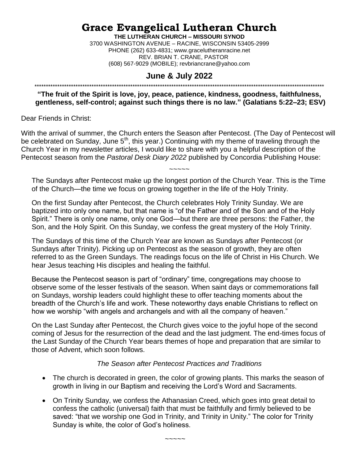# **Grace Evangelical Lutheran Church**

**THE LUTHERAN CHURCH – MISSOURI SYNOD** 3700 WASHINGTON AVENUE – RACINE, WISCONSIN 53405-2999 PHONE (262) 633-4831; www.gracelutheranracine.net REV. BRIAN T. CRANE, PASTOR (608) 567-9029 (MOBILE); revbriancrane@yahoo.com

#### **June & July 2022**

## \*\*\*\*\*\*\*\*\*\*\*\*\*\*\*\*\*\*\*\*\*\*\*\*\*\*\*\*\*\*\*\*\*\*\*\*\*\*\*\*\*\*\*\*\*\*\*\*\*\*\*\*\*\*\*\*\*\*\*\*\*\*\*\*\*\*\*\*\*\*\*\*\*\*\*\*\*\*\*\*\*\*\*\*\*\*\*\*\*\*\*\*\*\*\*\*\*\*\*\*\*\*\*\*\*\*\*\*\*\*\*\*\*\*\*\*\*\*\*\*\*\*\*\*\*\*\*

**"The fruit of the Spirit is love, joy, peace, patience, kindness, goodness, faithfulness, gentleness, self-control; against such things there is no law." (Galatians 5:22–23; ESV)**

Dear Friends in Christ:

With the arrival of summer, the Church enters the Season after Pentecost. (The Day of Pentecost will be celebrated on Sunday, June 5<sup>th</sup>, this year.) Continuing with my theme of traveling through the Church Year in my newsletter articles, I would like to share with you a helpful description of the Pentecost season from the *Pastoral Desk Diary 2022* published by Concordia Publishing House:

The Sundays after Pentecost make up the longest portion of the Church Year. This is the Time of the Church—the time we focus on growing together in the life of the Holy Trinity.

~~~~~

On the first Sunday after Pentecost, the Church celebrates Holy Trinity Sunday. We are baptized into only one name, but that name is "of the Father and of the Son and of the Holy Spirit." There is only one name, only one God—but there are three persons: the Father, the Son, and the Holy Spirit. On this Sunday, we confess the great mystery of the Holy Trinity.

The Sundays of this time of the Church Year are known as Sundays after Pentecost (or Sundays after Trinity). Picking up on Pentecost as the season of growth, they are often referred to as the Green Sundays. The readings focus on the life of Christ in His Church. We hear Jesus teaching His disciples and healing the faithful.

Because the Pentecost season is part of "ordinary" time, congregations may choose to observe some of the lesser festivals of the season. When saint days or commemorations fall on Sundays, worship leaders could highlight these to offer teaching moments about the breadth of the Church's life and work. These noteworthy days enable Christians to reflect on how we worship "with angels and archangels and with all the company of heaven."

On the Last Sunday after Pentecost, the Church gives voice to the joyful hope of the second coming of Jesus for the resurrection of the dead and the last judgment. The end-times focus of the Last Sunday of the Church Year bears themes of hope and preparation that are similar to those of Advent, which soon follows.

#### *The Season after Pentecost Practices and Traditions*

- The church is decorated in green, the color of growing plants. This marks the season of growth in living in our Baptism and receiving the Lord's Word and Sacraments.
- On Trinity Sunday, we confess the Athanasian Creed, which goes into great detail to confess the catholic (universal) faith that must be faithfully and firmly believed to be saved: "that we worship one God in Trinity, and Trinity in Unity." The color for Trinity Sunday is white, the color of God's holiness.

~~~~~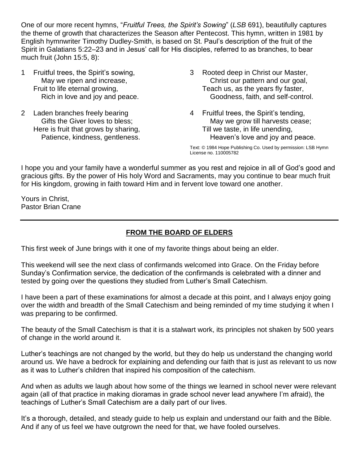One of our more recent hymns, "*Fruitful Trees, the Spirit's Sowing*" (*LSB* 691), beautifully captures the theme of growth that characterizes the Season after Pentecost. This hymn, written in 1981 by English hymnwriter Timothy Dudley-Smith, is based on St. Paul's description of the fruit of the Spirit in Galatians 5:22–23 and in Jesus' call for His disciples, referred to as branches, to bear much fruit (John 15:5, 8):

- 1 Fruitful trees, the Spirit's sowing, May we ripen and increase, Fruit to life eternal growing, Rich in love and joy and peace.
- 2 Laden branches freely bearing Gifts the Giver loves to bless; Here is fruit that grows by sharing, Patience, kindness, gentleness.
- 3 Rooted deep in Christ our Master, Christ our pattern and our goal, Teach us, as the years fly faster, Goodness, faith, and self-control.
- 4 Fruitful trees, the Spirit's tending, May we grow till harvests cease; Till we taste, in life unending, Heaven's love and joy and peace.

Text: © 1984 Hope Publishing Co. Used by permission: LSB Hymn License no. 110005782

I hope you and your family have a wonderful summer as you rest and rejoice in all of God's good and gracious gifts. By the power of His holy Word and Sacraments, may you continue to bear much fruit for His kingdom, growing in faith toward Him and in fervent love toward one another.

Yours in Christ, Pastor Brian Crane

### **FROM THE BOARD OF ELDERS**

This first week of June brings with it one of my favorite things about being an elder.

This weekend will see the next class of confirmands welcomed into Grace. On the Friday before Sunday's Confirmation service, the dedication of the confirmands is celebrated with a dinner and tested by going over the questions they studied from Luther's Small Catechism.

I have been a part of these examinations for almost a decade at this point, and I always enjoy going over the width and breadth of the Small Catechism and being reminded of my time studying it when I was preparing to be confirmed.

The beauty of the Small Catechism is that it is a stalwart work, its principles not shaken by 500 years of change in the world around it.

Luther's teachings are not changed by the world, but they do help us understand the changing world around us. We have a bedrock for explaining and defending our faith that is just as relevant to us now as it was to Luther's children that inspired his composition of the catechism.

And when as adults we laugh about how some of the things we learned in school never were relevant again (all of that practice in making dioramas in grade school never lead anywhere I'm afraid), the teachings of Luther's Small Catechism are a daily part of our lives.

It's a thorough, detailed, and steady guide to help us explain and understand our faith and the Bible. And if any of us feel we have outgrown the need for that, we have fooled ourselves.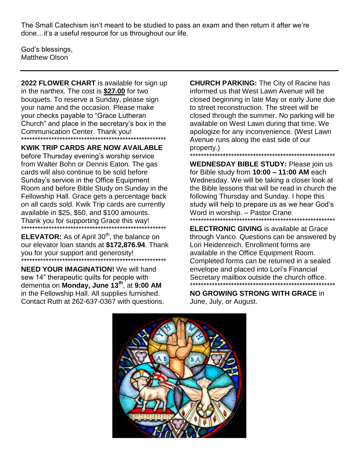The Small Catechism isn't meant to be studied to pass an exam and then return it after we're done... it's a useful resource for us throughout our life.

God's blessings, Matthew Olson

2022 FLOWER CHART is available for sign up in the narthex. The cost is \$27.00 for two bouquets. To reserve a Sunday, please sign your name and the occasion. Please make your checks payable to "Grace Lutheran" Church" and place in the secretary's box in the Communication Center. Thank you!

**KWIK TRIP CARDS ARE NOW AVAILABLE** before Thursday evening's worship service from Walter Bohn or Dennis Eaton. The gas cards will also continue to be sold before Sunday's service in the Office Equipment Room and before Bible Study on Sunday in the Fellowship Hall. Grace gets a percentage back on all cards sold. Kwik Trip cards are currently available in \$25, \$50, and \$100 amounts. Thank you for supporting Grace this way!

ELEVATOR: As of April 30<sup>th</sup>, the balance on our elevator loan stands at \$172,876.94. Thank you for your support and generosity!

**NEED YOUR IMAGINATION!** We will hand sew 14" therapeutic quilts for people with dementia on Monday, June 13<sup>th</sup>, at 9:00 AM in the Fellowship Hall. All supplies furnished. Contact Ruth at 262-637-0367 with questions. **CHURCH PARKING: The City of Racine has** informed us that West Lawn Avenue will be closed beginning in late May or early June due to street reconstruction. The street will be closed through the summer. No parking will be available on West Lawn during that time. We apologize for any inconvenience. (West Lawn Avenue runs along the east side of our property.)

**WEDNESDAY BIBLE STUDY: Please join us** for Bible study from  $10:00 - 11:00$  AM each Wednesday. We will be taking a closer look at the Bible lessons that will be read in church the following Thursday and Sunday. I hope this study will help to prepare us as we hear God's Word in worship. - Pastor Crane

**ELECTRONIC GIVING** is available at Grace through Vanco. Questions can be answered by Lori Heidenreich. Enrollment forms are available in the Office Equipment Room. Completed forms can be returned in a sealed envelope and placed into Lori's Financial Secretary mailbox outside the church office.

**NO GROWING STRONG WITH GRACE in** June, July, or August.

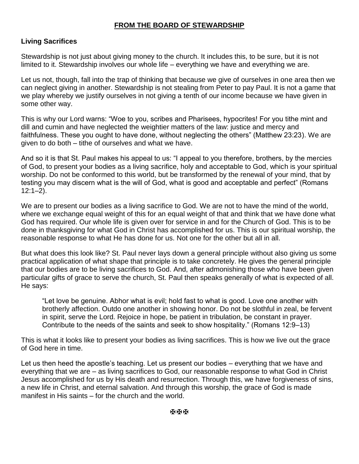#### **FROM THE BOARD OF STEWARDSHIP**

#### **Living Sacrifices**

Stewardship is not just about giving money to the church. It includes this, to be sure, but it is not limited to it. Stewardship involves our whole life – everything we have and everything we are.

Let us not, though, fall into the trap of thinking that because we give of ourselves in one area then we can neglect giving in another. Stewardship is not stealing from Peter to pay Paul. It is not a game that we play whereby we justify ourselves in not giving a tenth of our income because we have given in some other way.

This is why our Lord warns: "Woe to you, scribes and Pharisees, hypocrites! For you tithe mint and dill and cumin and have neglected the weightier matters of the law: justice and mercy and faithfulness. These you ought to have done, without neglecting the others" (Matthew 23:23). We are given to do both – tithe of ourselves and what we have.

And so it is that St. Paul makes his appeal to us: "I appeal to you therefore, brothers, by the mercies of God, to present your bodies as a living sacrifice, holy and acceptable to God, which is your spiritual worship. Do not be conformed to this world, but be transformed by the renewal of your mind, that by testing you may discern what is the will of God, what is good and acceptable and perfect" (Romans  $12:1-2$ ).

We are to present our bodies as a living sacrifice to God. We are not to have the mind of the world, where we exchange equal weight of this for an equal weight of that and think that we have done what God has required. Our whole life is given over for service in and for the Church of God. This is to be done in thanksgiving for what God in Christ has accomplished for us. This is our spiritual worship, the reasonable response to what He has done for us. Not one for the other but all in all.

But what does this look like? St. Paul never lays down a general principle without also giving us some practical application of what shape that principle is to take concretely. He gives the general principle that our bodies are to be living sacrifices to God. And, after admonishing those who have been given particular gifts of grace to serve the church, St. Paul then speaks generally of what is expected of all. He says:

"Let love be genuine. Abhor what is evil; hold fast to what is good. Love one another with brotherly affection. Outdo one another in showing honor. Do not be slothful in zeal, be fervent in spirit, serve the Lord. Rejoice in hope, be patient in tribulation, be constant in prayer. Contribute to the needs of the saints and seek to show hospitality." (Romans 12:9–13)

This is what it looks like to present your bodies as living sacrifices. This is how we live out the grace of God here in time.

Let us then heed the apostle's teaching. Let us present our bodies – everything that we have and everything that we are – as living sacrifices to God, our reasonable response to what God in Christ Jesus accomplished for us by His death and resurrection. Through this, we have forgiveness of sins, a new life in Christ, and eternal salvation. And through this worship, the grace of God is made manifest in His saints – for the church and the world.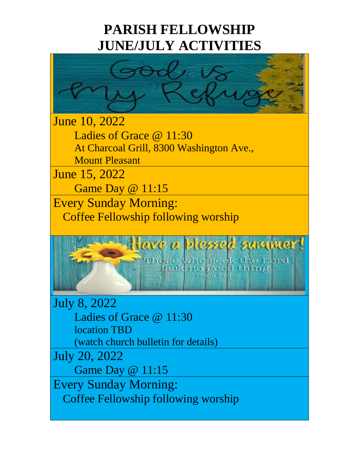# **PARISH FELLOWSHIP JUNE/JULY ACTIVITIES**